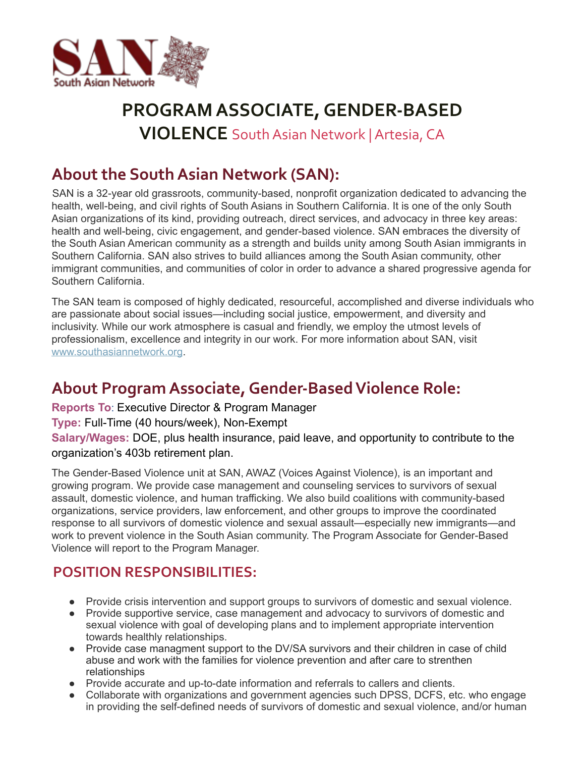

# **PROGRAM ASSOCIATE,GENDER-BASED VIOLENCE** SouthAsian Network |Artesia, CA

# **About the South Asian Network (SAN):**

SAN is a 32-year old grassroots, community-based, nonprofit organization dedicated to advancing the health, well-being, and civil rights of South Asians in Southern California. It is one of the only South Asian organizations of its kind, providing outreach, direct services, and advocacy in three key areas: health and well-being, civic engagement, and gender-based violence. SAN embraces the diversity of the South Asian American community as a strength and builds unity among South Asian immigrants in Southern California. SAN also strives to build alliances among the South Asian community, other immigrant communities, and communities of color in order to advance a shared progressive agenda for Southern California.

The SAN team is composed of highly dedicated, resourceful, accomplished and diverse individuals who are passionate about social issues—including social justice, empowerment, and diversity and inclusivity. While our work atmosphere is casual and friendly, we employ the utmost levels of professionalism, excellence and integrity in our work. For more information about SAN, visit www.southasiannetwork.org.

# **About Program Associate, Gender-Based Violence Role:**

**Reports To**: Executive Director & Program Manager

#### **Type:** Full-Time (40 hours/week), Non-Exempt

**Salary/Wages:** DOE, plus health insurance, paid leave, and opportunity to contribute to the organization's 403b retirement plan.

The Gender-Based Violence unit at SAN, AWAZ (Voices Against Violence), is an important and growing program. We provide case management and counseling services to survivors of sexual assault, domestic violence, and human trafficking. We also build coalitions with community-based organizations, service providers, law enforcement, and other groups to improve the coordinated response to all survivors of domestic violence and sexual assault—especially new immigrants—and work to prevent violence in the South Asian community. The Program Associate for Gender-Based Violence will report to the Program Manager.

### **POSITION RESPONSIBILITIES:**

- Provide crisis intervention and support groups to survivors of domestic and sexual violence.
- Provide supportive service, case management and advocacy to survivors of domestic and sexual violence with goal of developing plans and to implement appropriate intervention towards healthly relationships.
- Provide case managment support to the DV/SA survivors and their children in case of child abuse and work with the families for violence prevention and after care to strenthen relationships
- Provide accurate and up-to-date information and referrals to callers and clients.
- Collaborate with organizations and government agencies such DPSS, DCFS, etc. who engage in providing the self-defined needs of survivors of domestic and sexual violence, and/or human